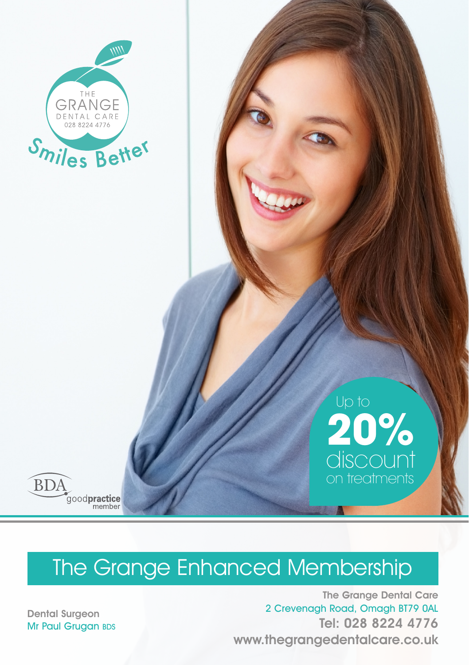

## **20%** discount on treatments Up to

# The Grange Enhanced Membership

The Grange Dental Care 2 Crevenagh Road, Omagh BT79 0AL Tel: 028 8224 4776 www.thegrangedentalcare.co.uk

Dental Surgeon Mr Paul Grugan BDS

goodpractice

**BDA**